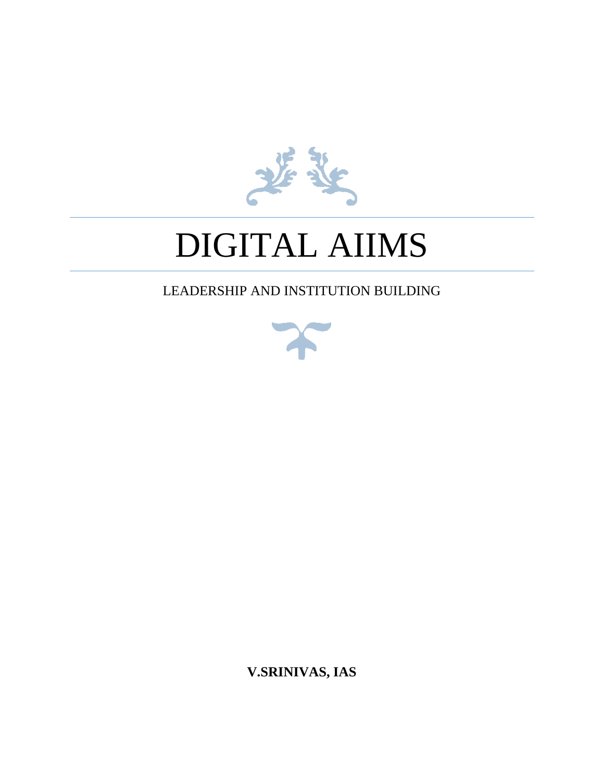

# DIGITAL AIIMS

## LEADERSHIP AND INSTITUTION BUILDING



**V.SRINIVAS, IAS**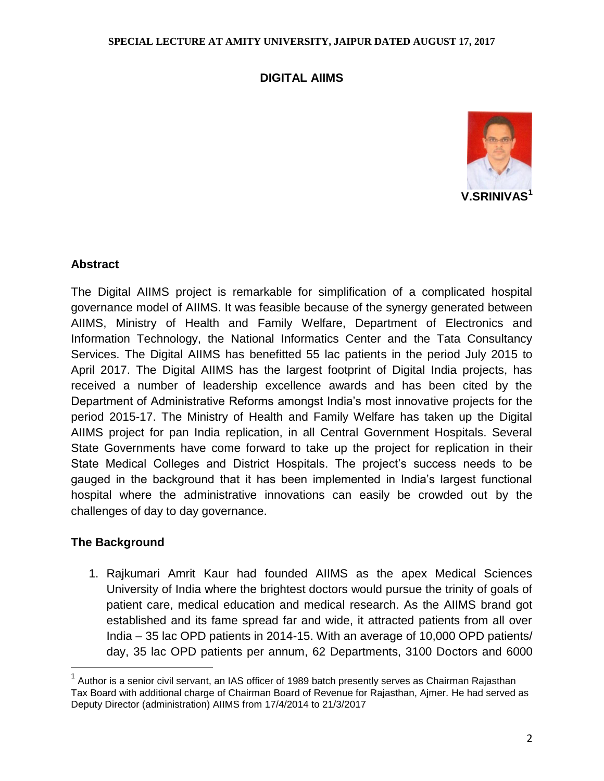## **DIGITAL AIIMS**



## **Abstract**

The Digital AIIMS project is remarkable for simplification of a complicated hospital governance model of AIIMS. It was feasible because of the synergy generated between AIIMS, Ministry of Health and Family Welfare, Department of Electronics and Information Technology, the National Informatics Center and the Tata Consultancy Services. The Digital AIIMS has benefitted 55 lac patients in the period July 2015 to April 2017. The Digital AIIMS has the largest footprint of Digital India projects, has received a number of leadership excellence awards and has been cited by the Department of Administrative Reforms amongst India's most innovative projects for the period 2015-17. The Ministry of Health and Family Welfare has taken up the Digital AIIMS project for pan India replication, in all Central Government Hospitals. Several State Governments have come forward to take up the project for replication in their State Medical Colleges and District Hospitals. The project's success needs to be gauged in the background that it has been implemented in India's largest functional hospital where the administrative innovations can easily be crowded out by the challenges of day to day governance.

## **The Background**

 $\overline{a}$ 

1. Rajkumari Amrit Kaur had founded AIIMS as the apex Medical Sciences University of India where the brightest doctors would pursue the trinity of goals of patient care, medical education and medical research. As the AIIMS brand got established and its fame spread far and wide, it attracted patients from all over India – 35 lac OPD patients in 2014-15. With an average of 10,000 OPD patients/ day, 35 lac OPD patients per annum, 62 Departments, 3100 Doctors and 6000

 $^{\text{1}}$  Author is a senior civil servant, an IAS officer of 1989 batch presently serves as Chairman Rajasthan Tax Board with additional charge of Chairman Board of Revenue for Rajasthan, Ajmer. He had served as Deputy Director (administration) AIIMS from 17/4/2014 to 21/3/2017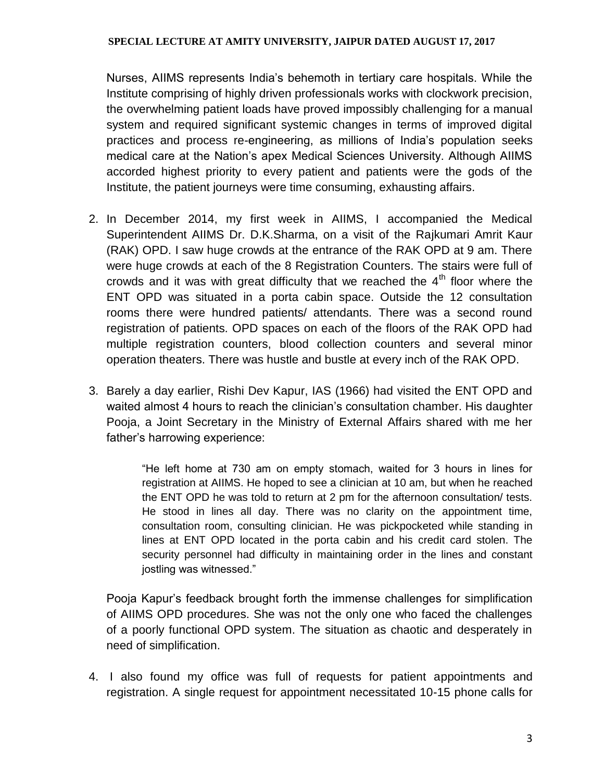Nurses, AIIMS represents India's behemoth in tertiary care hospitals. While the Institute comprising of highly driven professionals works with clockwork precision, the overwhelming patient loads have proved impossibly challenging for a manual system and required significant systemic changes in terms of improved digital practices and process re-engineering, as millions of India's population seeks medical care at the Nation's apex Medical Sciences University. Although AIIMS accorded highest priority to every patient and patients were the gods of the Institute, the patient journeys were time consuming, exhausting affairs.

- 2. In December 2014, my first week in AIIMS, I accompanied the Medical Superintendent AIIMS Dr. D.K.Sharma, on a visit of the Rajkumari Amrit Kaur (RAK) OPD. I saw huge crowds at the entrance of the RAK OPD at 9 am. There were huge crowds at each of the 8 Registration Counters. The stairs were full of crowds and it was with great difficulty that we reached the  $4<sup>th</sup>$  floor where the ENT OPD was situated in a porta cabin space. Outside the 12 consultation rooms there were hundred patients/ attendants. There was a second round registration of patients. OPD spaces on each of the floors of the RAK OPD had multiple registration counters, blood collection counters and several minor operation theaters. There was hustle and bustle at every inch of the RAK OPD.
- 3. Barely a day earlier, Rishi Dev Kapur, IAS (1966) had visited the ENT OPD and waited almost 4 hours to reach the clinician's consultation chamber. His daughter Pooja, a Joint Secretary in the Ministry of External Affairs shared with me her father's harrowing experience:

"He left home at 730 am on empty stomach, waited for 3 hours in lines for registration at AIIMS. He hoped to see a clinician at 10 am, but when he reached the ENT OPD he was told to return at 2 pm for the afternoon consultation/ tests. He stood in lines all day. There was no clarity on the appointment time, consultation room, consulting clinician. He was pickpocketed while standing in lines at ENT OPD located in the porta cabin and his credit card stolen. The security personnel had difficulty in maintaining order in the lines and constant jostling was witnessed."

Pooja Kapur's feedback brought forth the immense challenges for simplification of AIIMS OPD procedures. She was not the only one who faced the challenges of a poorly functional OPD system. The situation as chaotic and desperately in need of simplification.

4. I also found my office was full of requests for patient appointments and registration. A single request for appointment necessitated 10-15 phone calls for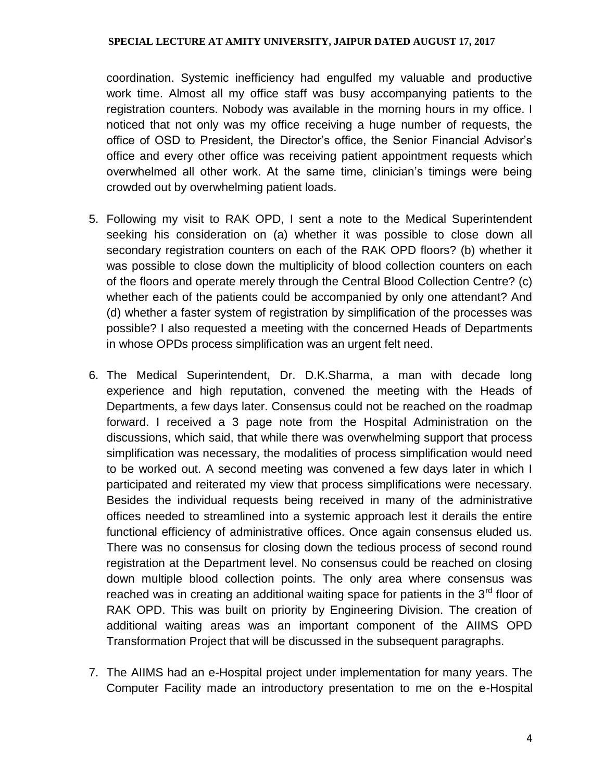coordination. Systemic inefficiency had engulfed my valuable and productive work time. Almost all my office staff was busy accompanying patients to the registration counters. Nobody was available in the morning hours in my office. I noticed that not only was my office receiving a huge number of requests, the office of OSD to President, the Director's office, the Senior Financial Advisor's office and every other office was receiving patient appointment requests which overwhelmed all other work. At the same time, clinician's timings were being crowded out by overwhelming patient loads.

- 5. Following my visit to RAK OPD, I sent a note to the Medical Superintendent seeking his consideration on (a) whether it was possible to close down all secondary registration counters on each of the RAK OPD floors? (b) whether it was possible to close down the multiplicity of blood collection counters on each of the floors and operate merely through the Central Blood Collection Centre? (c) whether each of the patients could be accompanied by only one attendant? And (d) whether a faster system of registration by simplification of the processes was possible? I also requested a meeting with the concerned Heads of Departments in whose OPDs process simplification was an urgent felt need.
- 6. The Medical Superintendent, Dr. D.K.Sharma, a man with decade long experience and high reputation, convened the meeting with the Heads of Departments, a few days later. Consensus could not be reached on the roadmap forward. I received a 3 page note from the Hospital Administration on the discussions, which said, that while there was overwhelming support that process simplification was necessary, the modalities of process simplification would need to be worked out. A second meeting was convened a few days later in which I participated and reiterated my view that process simplifications were necessary. Besides the individual requests being received in many of the administrative offices needed to streamlined into a systemic approach lest it derails the entire functional efficiency of administrative offices. Once again consensus eluded us. There was no consensus for closing down the tedious process of second round registration at the Department level. No consensus could be reached on closing down multiple blood collection points. The only area where consensus was reached was in creating an additional waiting space for patients in the  $3<sup>rd</sup>$  floor of RAK OPD. This was built on priority by Engineering Division. The creation of additional waiting areas was an important component of the AIIMS OPD Transformation Project that will be discussed in the subsequent paragraphs.
- 7. The AIIMS had an e-Hospital project under implementation for many years. The Computer Facility made an introductory presentation to me on the e-Hospital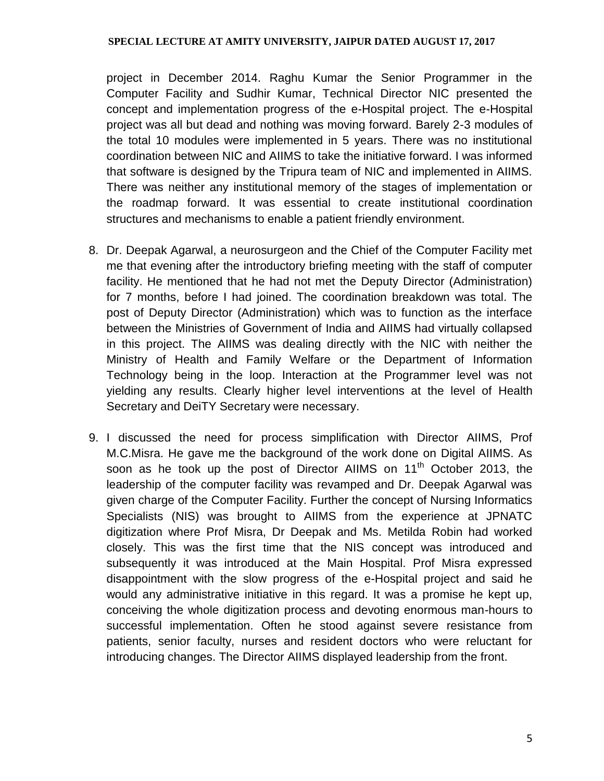project in December 2014. Raghu Kumar the Senior Programmer in the Computer Facility and Sudhir Kumar, Technical Director NIC presented the concept and implementation progress of the e-Hospital project. The e-Hospital project was all but dead and nothing was moving forward. Barely 2-3 modules of the total 10 modules were implemented in 5 years. There was no institutional coordination between NIC and AIIMS to take the initiative forward. I was informed that software is designed by the Tripura team of NIC and implemented in AIIMS. There was neither any institutional memory of the stages of implementation or the roadmap forward. It was essential to create institutional coordination structures and mechanisms to enable a patient friendly environment.

- 8. Dr. Deepak Agarwal, a neurosurgeon and the Chief of the Computer Facility met me that evening after the introductory briefing meeting with the staff of computer facility. He mentioned that he had not met the Deputy Director (Administration) for 7 months, before I had joined. The coordination breakdown was total. The post of Deputy Director (Administration) which was to function as the interface between the Ministries of Government of India and AIIMS had virtually collapsed in this project. The AIIMS was dealing directly with the NIC with neither the Ministry of Health and Family Welfare or the Department of Information Technology being in the loop. Interaction at the Programmer level was not yielding any results. Clearly higher level interventions at the level of Health Secretary and DeiTY Secretary were necessary.
- 9. I discussed the need for process simplification with Director AIIMS, Prof M.C.Misra. He gave me the background of the work done on Digital AIIMS. As soon as he took up the post of Director AIIMS on 11<sup>th</sup> October 2013, the leadership of the computer facility was revamped and Dr. Deepak Agarwal was given charge of the Computer Facility. Further the concept of Nursing Informatics Specialists (NIS) was brought to AIIMS from the experience at JPNATC digitization where Prof Misra, Dr Deepak and Ms. Metilda Robin had worked closely. This was the first time that the NIS concept was introduced and subsequently it was introduced at the Main Hospital. Prof Misra expressed disappointment with the slow progress of the e-Hospital project and said he would any administrative initiative in this regard. It was a promise he kept up, conceiving the whole digitization process and devoting enormous man-hours to successful implementation. Often he stood against severe resistance from patients, senior faculty, nurses and resident doctors who were reluctant for introducing changes. The Director AIIMS displayed leadership from the front.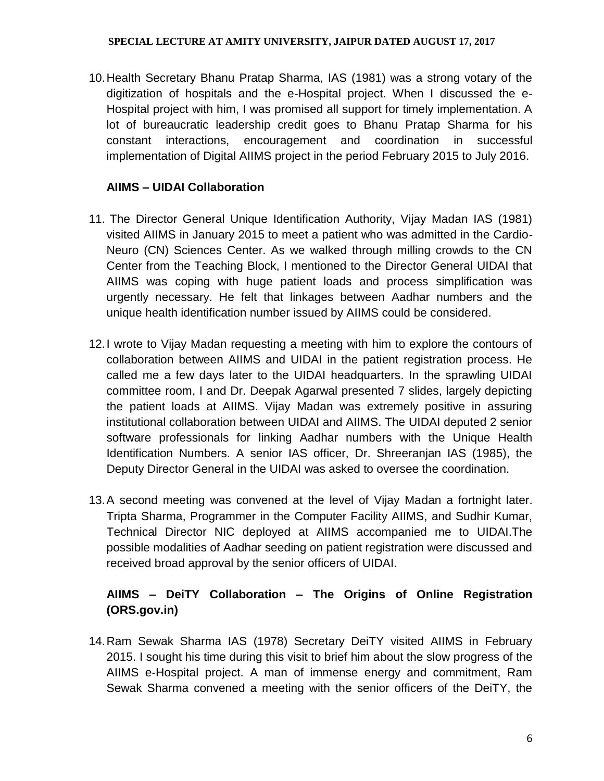10.Health Secretary Bhanu Pratap Sharma, IAS (1981) was a strong votary of the digitization of hospitals and the e-Hospital project. When I discussed the e-Hospital project with him, I was promised all support for timely implementation. A lot of bureaucratic leadership credit goes to Bhanu Pratap Sharma for his constant interactions, encouragement and coordination in successful implementation of Digital AIIMS project in the period February 2015 to July 2016.

## **AIIMS – UIDAI Collaboration**

- 11. The Director General Unique Identification Authority, Vijay Madan IAS (1981) visited AIIMS in January 2015 to meet a patient who was admitted in the Cardio-Neuro (CN) Sciences Center. As we walked through milling crowds to the CN Center from the Teaching Block, I mentioned to the Director General UIDAI that AIIMS was coping with huge patient loads and process simplification was urgently necessary. He felt that linkages between Aadhar numbers and the unique health identification number issued by AIIMS could be considered.
- 12.I wrote to Vijay Madan requesting a meeting with him to explore the contours of collaboration between AIIMS and UIDAI in the patient registration process. He called me a few days later to the UIDAI headquarters. In the sprawling UIDAI committee room, I and Dr. Deepak Agarwal presented 7 slides, largely depicting the patient loads at AIIMS. Vijay Madan was extremely positive in assuring institutional collaboration between UIDAI and AIIMS. The UIDAI deputed 2 senior software professionals for linking Aadhar numbers with the Unique Health Identification Numbers. A senior IAS officer, Dr. Shreeranjan IAS (1985), the Deputy Director General in the UIDAI was asked to oversee the coordination.
- 13.A second meeting was convened at the level of Vijay Madan a fortnight later. Tripta Sharma, Programmer in the Computer Facility AIIMS, and Sudhir Kumar, Technical Director NIC deployed at AIIMS accompanied me to UIDAI.The possible modalities of Aadhar seeding on patient registration were discussed and received broad approval by the senior officers of UIDAI.

## **AIIMS – DeiTY Collaboration – The Origins of Online Registration (ORS.gov.in)**

14.Ram Sewak Sharma IAS (1978) Secretary DeiTY visited AIIMS in February 2015. I sought his time during this visit to brief him about the slow progress of the AIIMS e-Hospital project. A man of immense energy and commitment, Ram Sewak Sharma convened a meeting with the senior officers of the DeiTY, the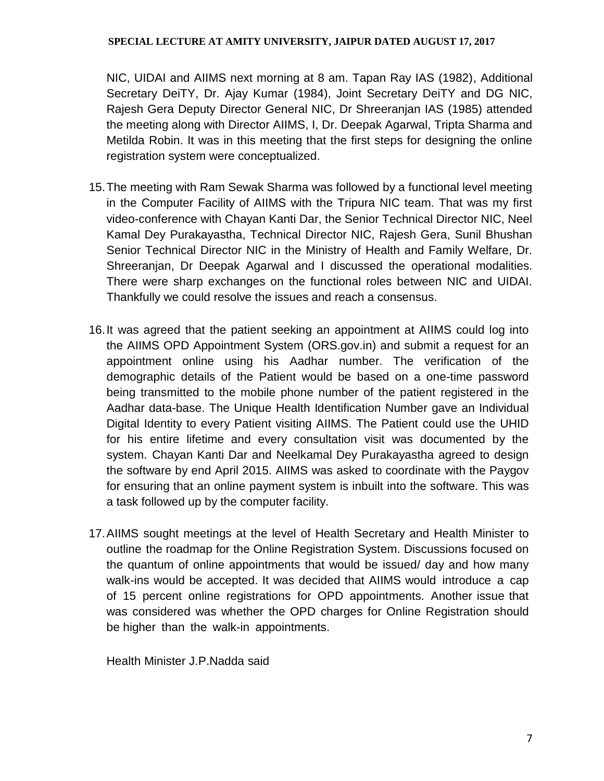NIC, UIDAI and AIIMS next morning at 8 am. Tapan Ray IAS (1982), Additional Secretary DeiTY, Dr. Ajay Kumar (1984), Joint Secretary DeiTY and DG NIC, Rajesh Gera Deputy Director General NIC, Dr Shreeranjan IAS (1985) attended the meeting along with Director AIIMS, I, Dr. Deepak Agarwal, Tripta Sharma and Metilda Robin. It was in this meeting that the first steps for designing the online registration system were conceptualized.

- 15.The meeting with Ram Sewak Sharma was followed by a functional level meeting in the Computer Facility of AIIMS with the Tripura NIC team. That was my first video-conference with Chayan Kanti Dar, the Senior Technical Director NIC, Neel Kamal Dey Purakayastha, Technical Director NIC, Rajesh Gera, Sunil Bhushan Senior Technical Director NIC in the Ministry of Health and Family Welfare, Dr. Shreeranjan, Dr Deepak Agarwal and I discussed the operational modalities. There were sharp exchanges on the functional roles between NIC and UIDAI. Thankfully we could resolve the issues and reach a consensus.
- 16.It was agreed that the patient seeking an appointment at AIIMS could log into the AIIMS OPD Appointment System (ORS.gov.in) and submit a request for an appointment online using his Aadhar number. The verification of the demographic details of the Patient would be based on a one-time password being transmitted to the mobile phone number of the patient registered in the Aadhar data-base. The Unique Health Identification Number gave an Individual Digital Identity to every Patient visiting AIIMS. The Patient could use the UHID for his entire lifetime and every consultation visit was documented by the system. Chayan Kanti Dar and Neelkamal Dey Purakayastha agreed to design the software by end April 2015. AIIMS was asked to coordinate with the Paygov for ensuring that an online payment system is inbuilt into the software. This was a task followed up by the computer facility.
- 17.AIIMS sought meetings at the level of Health Secretary and Health Minister to outline the roadmap for the Online Registration System. Discussions focused on the quantum of online appointments that would be issued/ day and how many walk-ins would be accepted. It was decided that AIIMS would introduce a cap of 15 percent online registrations for OPD appointments. Another issue that was considered was whether the OPD charges for Online Registration should be higher than the walk-in appointments.

Health Minister J.P.Nadda said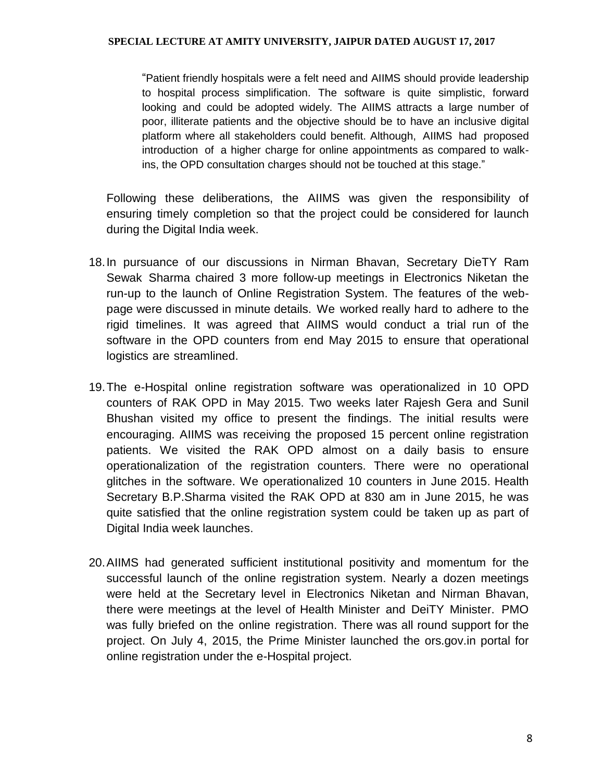"Patient friendly hospitals were a felt need and AIIMS should provide leadership to hospital process simplification. The software is quite simplistic, forward looking and could be adopted widely. The AIIMS attracts a large number of poor, illiterate patients and the objective should be to have an inclusive digital platform where all stakeholders could benefit. Although, AIIMS had proposed introduction of a higher charge for online appointments as compared to walkins, the OPD consultation charges should not be touched at this stage."

Following these deliberations, the AIIMS was given the responsibility of ensuring timely completion so that the project could be considered for launch during the Digital India week.

- 18.In pursuance of our discussions in Nirman Bhavan, Secretary DieTY Ram Sewak Sharma chaired 3 more follow-up meetings in Electronics Niketan the run-up to the launch of Online Registration System. The features of the webpage were discussed in minute details. We worked really hard to adhere to the rigid timelines. It was agreed that AIIMS would conduct a trial run of the software in the OPD counters from end May 2015 to ensure that operational logistics are streamlined.
- 19.The e-Hospital online registration software was operationalized in 10 OPD counters of RAK OPD in May 2015. Two weeks later Rajesh Gera and Sunil Bhushan visited my office to present the findings. The initial results were encouraging. AIIMS was receiving the proposed 15 percent online registration patients. We visited the RAK OPD almost on a daily basis to ensure operationalization of the registration counters. There were no operational glitches in the software. We operationalized 10 counters in June 2015. Health Secretary B.P.Sharma visited the RAK OPD at 830 am in June 2015, he was quite satisfied that the online registration system could be taken up as part of Digital India week launches.
- 20.AIIMS had generated sufficient institutional positivity and momentum for the successful launch of the online registration system. Nearly a dozen meetings were held at the Secretary level in Electronics Niketan and Nirman Bhavan, there were meetings at the level of Health Minister and DeiTY Minister. PMO was fully briefed on the online registration. There was all round support for the project. On July 4, 2015, the Prime Minister launched the ors.gov.in portal for online registration under the e-Hospital project.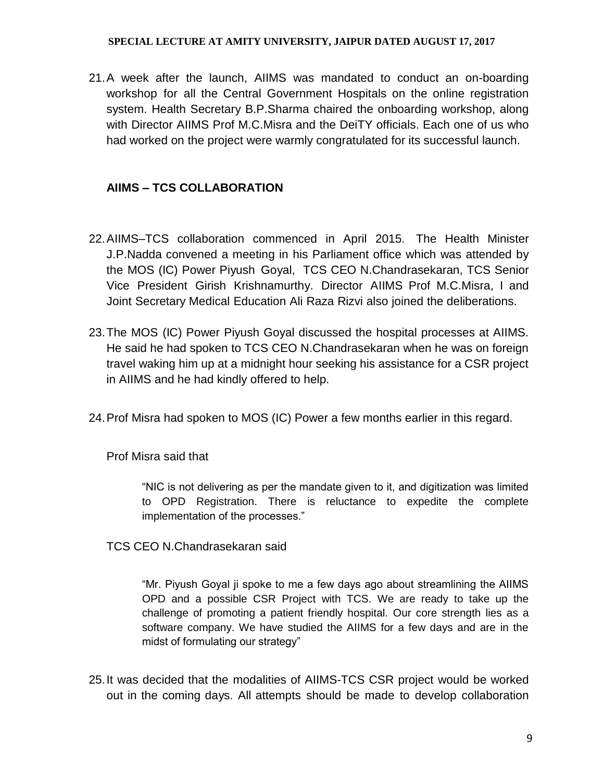21.A week after the launch, AIIMS was mandated to conduct an on-boarding workshop for all the Central Government Hospitals on the online registration system. Health Secretary B.P.Sharma chaired the onboarding workshop, along with Director AIIMS Prof M.C.Misra and the DeiTY officials. Each one of us who had worked on the project were warmly congratulated for its successful launch.

## **AIIMS – TCS COLLABORATION**

- 22.AIIMS–TCS collaboration commenced in April 2015. The Health Minister J.P.Nadda convened a meeting in his Parliament office which was attended by the MOS (IC) Power Piyush Goyal, TCS CEO N.Chandrasekaran, TCS Senior Vice President Girish Krishnamurthy. Director AIIMS Prof M.C.Misra, I and Joint Secretary Medical Education Ali Raza Rizvi also joined the deliberations.
- 23.The MOS (IC) Power Piyush Goyal discussed the hospital processes at AIIMS. He said he had spoken to TCS CEO N.Chandrasekaran when he was on foreign travel waking him up at a midnight hour seeking his assistance for a CSR project in AIIMS and he had kindly offered to help.
- 24.Prof Misra had spoken to MOS (IC) Power a few months earlier in this regard.

Prof Misra said that

"NIC is not delivering as per the mandate given to it, and digitization was limited to OPD Registration. There is reluctance to expedite the complete implementation of the processes."

TCS CEO N.Chandrasekaran said

"Mr. Piyush Goyal ji spoke to me a few days ago about streamlining the AIIMS OPD and a possible CSR Project with TCS. We are ready to take up the challenge of promoting a patient friendly hospital. Our core strength lies as a software company. We have studied the AIIMS for a few days and are in the midst of formulating our strategy"

25.It was decided that the modalities of AIIMS-TCS CSR project would be worked out in the coming days. All attempts should be made to develop collaboration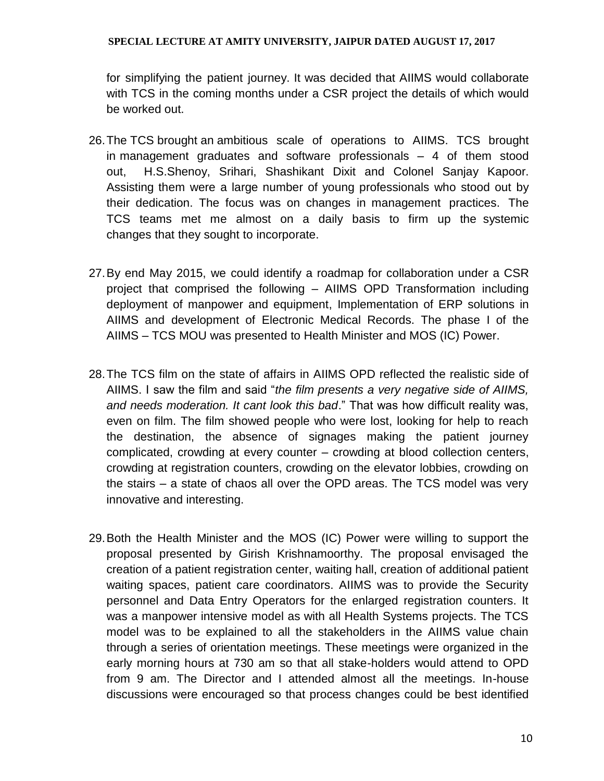for simplifying the patient journey. It was decided that AIIMS would collaborate with TCS in the coming months under a CSR project the details of which would be worked out.

- 26.The TCS brought an ambitious scale of operations to AIIMS. TCS brought in management graduates and software professionals – 4 of them stood out, H.S.Shenoy, Srihari, Shashikant Dixit and Colonel Sanjay Kapoor. Assisting them were a large number of young professionals who stood out by their dedication. The focus was on changes in management practices. The TCS teams met me almost on a daily basis to firm up the systemic changes that they sought to incorporate.
- 27.By end May 2015, we could identify a roadmap for collaboration under a CSR project that comprised the following – AIIMS OPD Transformation including deployment of manpower and equipment, Implementation of ERP solutions in AIIMS and development of Electronic Medical Records. The phase I of the AIIMS – TCS MOU was presented to Health Minister and MOS (IC) Power.
- 28.The TCS film on the state of affairs in AIIMS OPD reflected the realistic side of AIIMS. I saw the film and said "*the film presents a very negative side of AIIMS, and needs moderation. It cant look this bad*." That was how difficult reality was, even on film. The film showed people who were lost, looking for help to reach the destination, the absence of signages making the patient journey complicated, crowding at every counter – crowding at blood collection centers, crowding at registration counters, crowding on the elevator lobbies, crowding on the stairs – a state of chaos all over the OPD areas. The TCS model was very innovative and interesting.
- 29.Both the Health Minister and the MOS (IC) Power were willing to support the proposal presented by Girish Krishnamoorthy. The proposal envisaged the creation of a patient registration center, waiting hall, creation of additional patient waiting spaces, patient care coordinators. AIIMS was to provide the Security personnel and Data Entry Operators for the enlarged registration counters. It was a manpower intensive model as with all Health Systems projects. The TCS model was to be explained to all the stakeholders in the AIIMS value chain through a series of orientation meetings. These meetings were organized in the early morning hours at 730 am so that all stake-holders would attend to OPD from 9 am. The Director and I attended almost all the meetings. In-house discussions were encouraged so that process changes could be best identified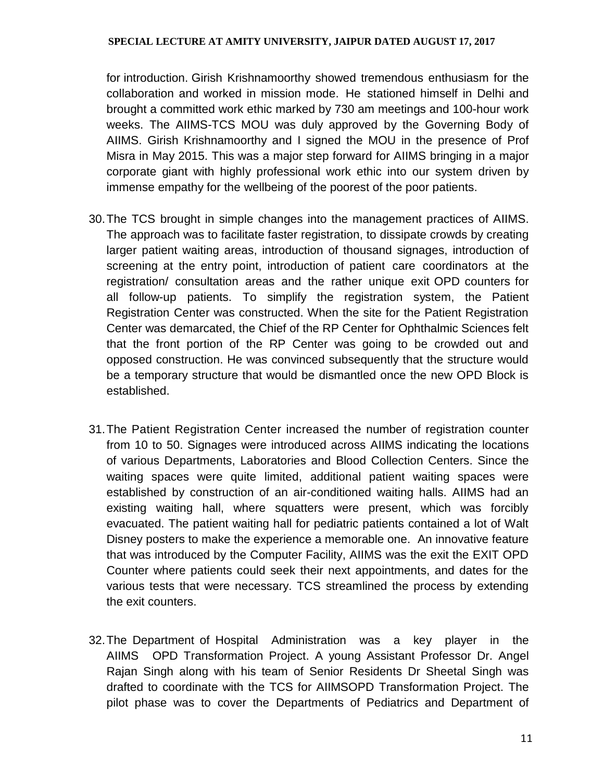for introduction. Girish Krishnamoorthy showed tremendous enthusiasm for the collaboration and worked in mission mode. He stationed himself in Delhi and brought a committed work ethic marked by 730 am meetings and 100-hour work weeks. The AIIMS-TCS MOU was duly approved by the Governing Body of AIIMS. Girish Krishnamoorthy and I signed the MOU in the presence of Prof Misra in May 2015. This was a major step forward for AIIMS bringing in a major corporate giant with highly professional work ethic into our system driven by immense empathy for the wellbeing of the poorest of the poor patients.

- 30.The TCS brought in simple changes into the management practices of AIIMS. The approach was to facilitate faster registration, to dissipate crowds by creating larger patient waiting areas, introduction of thousand signages, introduction of screening at the entry point, introduction of patient care coordinators at the registration/ consultation areas and the rather unique exit OPD counters for all follow-up patients. To simplify the registration system, the Patient Registration Center was constructed. When the site for the Patient Registration Center was demarcated, the Chief of the RP Center for Ophthalmic Sciences felt that the front portion of the RP Center was going to be crowded out and opposed construction. He was convinced subsequently that the structure would be a temporary structure that would be dismantled once the new OPD Block is established.
- 31.The Patient Registration Center increased the number of registration counter from 10 to 50. Signages were introduced across AIIMS indicating the locations of various Departments, Laboratories and Blood Collection Centers. Since the waiting spaces were quite limited, additional patient waiting spaces were established by construction of an air-conditioned waiting halls. AIIMS had an existing waiting hall, where squatters were present, which was forcibly evacuated. The patient waiting hall for pediatric patients contained a lot of Walt Disney posters to make the experience a memorable one. An innovative feature that was introduced by the Computer Facility, AIIMS was the exit the EXIT OPD Counter where patients could seek their next appointments, and dates for the various tests that were necessary. TCS streamlined the process by extending the exit counters.
- 32.The Department of Hospital Administration was a key player in the AIIMS OPD Transformation Project. A young Assistant Professor Dr. Angel Rajan Singh along with his team of Senior Residents Dr Sheetal Singh was drafted to coordinate with the TCS for AIIMSOPD Transformation Project. The pilot phase was to cover the Departments of Pediatrics and Department of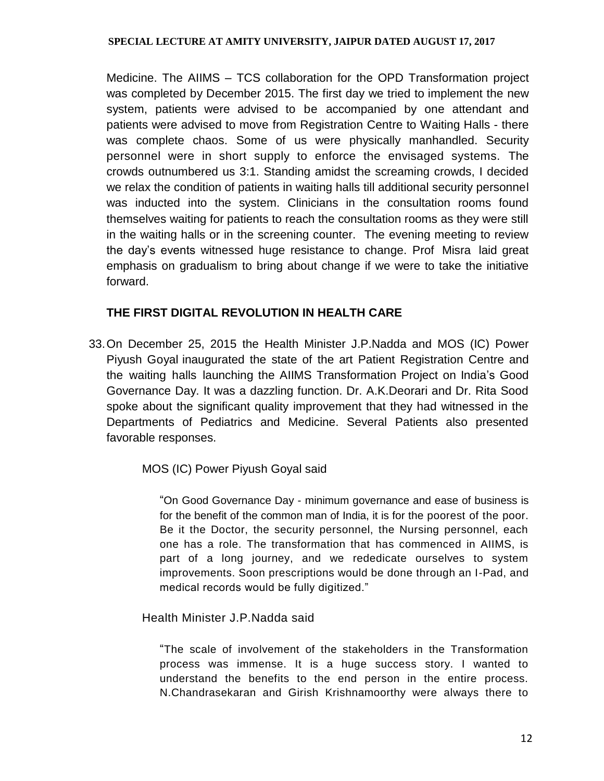Medicine. The AIIMS – TCS collaboration for the OPD Transformation project was completed by December 2015. The first day we tried to implement the new system, patients were advised to be accompanied by one attendant and patients were advised to move from Registration Centre to Waiting Halls - there was complete chaos. Some of us were physically manhandled. Security personnel were in short supply to enforce the envisaged systems. The crowds outnumbered us 3:1. Standing amidst the screaming crowds, I decided we relax the condition of patients in waiting halls till additional security personnel was inducted into the system. Clinicians in the consultation rooms found themselves waiting for patients to reach the consultation rooms as they were still in the waiting halls or in the screening counter. The evening meeting to review the day's events witnessed huge resistance to change. Prof Misra laid great emphasis on gradualism to bring about change if we were to take the initiative forward.

## **THE FIRST DIGITAL REVOLUTION IN HEALTH CARE**

33.On December 25, 2015 the Health Minister J.P.Nadda and MOS (IC) Power Piyush Goyal inaugurated the state of the art Patient Registration Centre and the waiting halls launching the AIIMS Transformation Project on India's Good Governance Day. It was a dazzling function. Dr. A.K.Deorari and Dr. Rita Sood spoke about the significant quality improvement that they had witnessed in the Departments of Pediatrics and Medicine. Several Patients also presented favorable responses.

MOS (IC) Power Piyush Goyal said

"On Good Governance Day - minimum governance and ease of business is for the benefit of the common man of India, it is for the poorest of the poor. Be it the Doctor, the security personnel, the Nursing personnel, each one has a role. The transformation that has commenced in AIIMS, is part of a long journey, and we rededicate ourselves to system improvements. Soon prescriptions would be done through an I-Pad, and medical records would be fully digitized."

Health Minister J.P.Nadda said

"The scale of involvement of the stakeholders in the Transformation process was immense. It is a huge success story. I wanted to understand the benefits to the end person in the entire process. N.Chandrasekaran and Girish Krishnamoorthy were always there to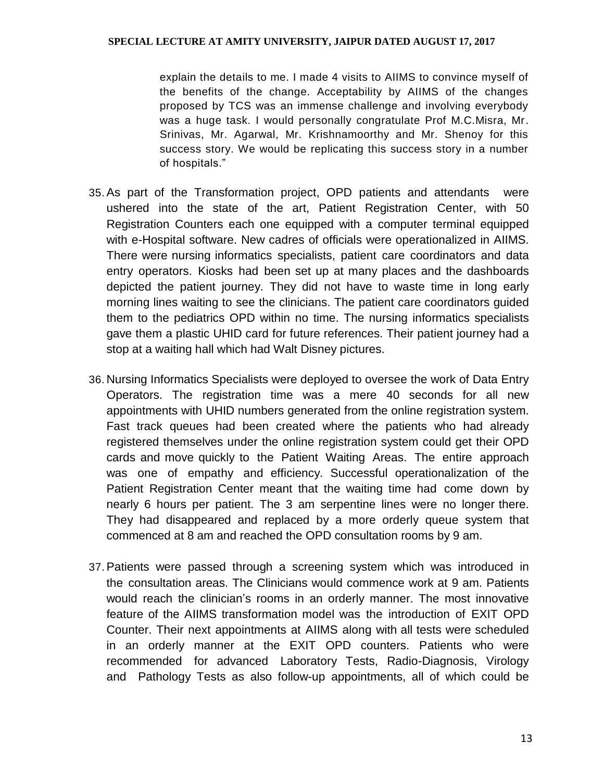explain the details to me. I made 4 visits to AIIMS to convince myself of the benefits of the change. Acceptability by AIIMS of the changes proposed by TCS was an immense challenge and involving everybody was a huge task. I would personally congratulate Prof M.C.Misra, Mr. Srinivas, Mr. Agarwal, Mr. Krishnamoorthy and Mr. Shenoy for this success story. We would be replicating this success story in a number of hospitals."

- 35.As part of the Transformation project, OPD patients and attendants were ushered into the state of the art, Patient Registration Center, with 50 Registration Counters each one equipped with a computer terminal equipped with e-Hospital software. New cadres of officials were operationalized in AIIMS. There were nursing informatics specialists, patient care coordinators and data entry operators. Kiosks had been set up at many places and the dashboards depicted the patient journey. They did not have to waste time in long early morning lines waiting to see the clinicians. The patient care coordinators guided them to the pediatrics OPD within no time. The nursing informatics specialists gave them a plastic UHID card for future references. Their patient journey had a stop at a waiting hall which had Walt Disney pictures.
- 36. Nursing Informatics Specialists were deployed to oversee the work of Data Entry Operators. The registration time was a mere 40 seconds for all new appointments with UHID numbers generated from the online registration system. Fast track queues had been created where the patients who had already registered themselves under the online registration system could get their OPD cards and move quickly to the Patient Waiting Areas. The entire approach was one of empathy and efficiency. Successful operationalization of the Patient Registration Center meant that the waiting time had come down by nearly 6 hours per patient. The 3 am serpentine lines were no longer there. They had disappeared and replaced by a more orderly queue system that commenced at 8 am and reached the OPD consultation rooms by 9 am.
- 37.Patients were passed through a screening system which was introduced in the consultation areas. The Clinicians would commence work at 9 am. Patients would reach the clinician's rooms in an orderly manner. The most innovative feature of the AIIMS transformation model was the introduction of EXIT OPD Counter. Their next appointments at AIIMS along with all tests were scheduled in an orderly manner at the EXIT OPD counters. Patients who were recommended for advanced Laboratory Tests, Radio-Diagnosis, Virology and Pathology Tests as also follow-up appointments, all of which could be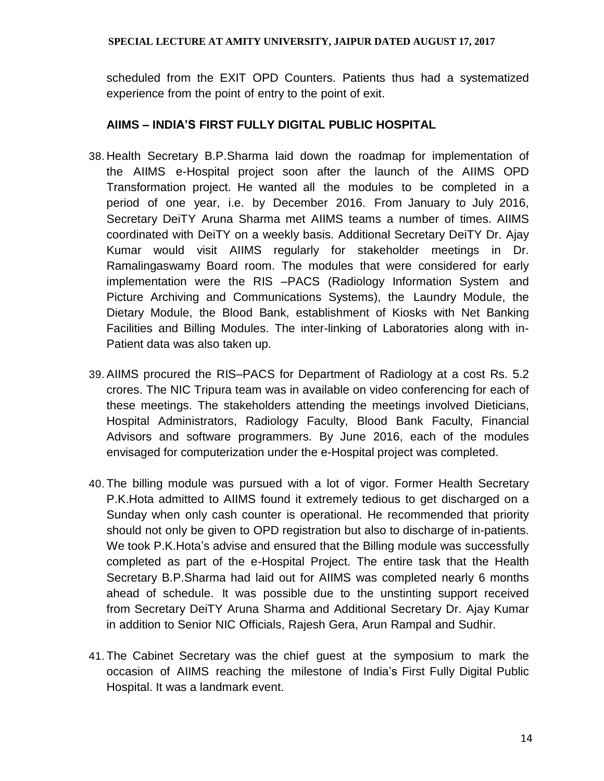scheduled from the EXIT OPD Counters. Patients thus had a systematized experience from the point of entry to the point of exit.

## **AIIMS – INDIA'S FIRST FULLY DIGITAL PUBLIC HOSPITAL**

- 38. Health Secretary B.P.Sharma laid down the roadmap for implementation of the AIIMS e-Hospital project soon after the launch of the AIIMS OPD Transformation project. He wanted all the modules to be completed in a period of one year, i.e. by December 2016. From January to July 2016, Secretary DeiTY Aruna Sharma met AIIMS teams a number of times. AIIMS coordinated with DeiTY on a weekly basis. Additional Secretary DeiTY Dr. Ajay Kumar would visit AIIMS regularly for stakeholder meetings in Dr. Ramalingaswamy Board room. The modules that were considered for early implementation were the RIS –PACS (Radiology Information System and Picture Archiving and Communications Systems), the Laundry Module, the Dietary Module, the Blood Bank, establishment of Kiosks with Net Banking Facilities and Billing Modules. The inter-linking of Laboratories along with in-Patient data was also taken up.
- 39.AIIMS procured the RIS–PACS for Department of Radiology at a cost Rs. 5.2 crores. The NIC Tripura team was in available on video conferencing for each of these meetings. The stakeholders attending the meetings involved Dieticians, Hospital Administrators, Radiology Faculty, Blood Bank Faculty, Financial Advisors and software programmers. By June 2016, each of the modules envisaged for computerization under the e-Hospital project was completed.
- 40. The billing module was pursued with a lot of vigor. Former Health Secretary P.K.Hota admitted to AIIMS found it extremely tedious to get discharged on a Sunday when only cash counter is operational. He recommended that priority should not only be given to OPD registration but also to discharge of in-patients. We took P.K.Hota's advise and ensured that the Billing module was successfully completed as part of the e-Hospital Project. The entire task that the Health Secretary B.P.Sharma had laid out for AIIMS was completed nearly 6 months ahead of schedule. It was possible due to the unstinting support received from Secretary DeiTY Aruna Sharma and Additional Secretary Dr. Ajay Kumar in addition to Senior NIC Officials, Rajesh Gera, Arun Rampal and Sudhir.
- 41. The Cabinet Secretary was the chief guest at the symposium to mark the occasion of AIIMS reaching the milestone of India's First Fully Digital Public Hospital. It was a landmark event.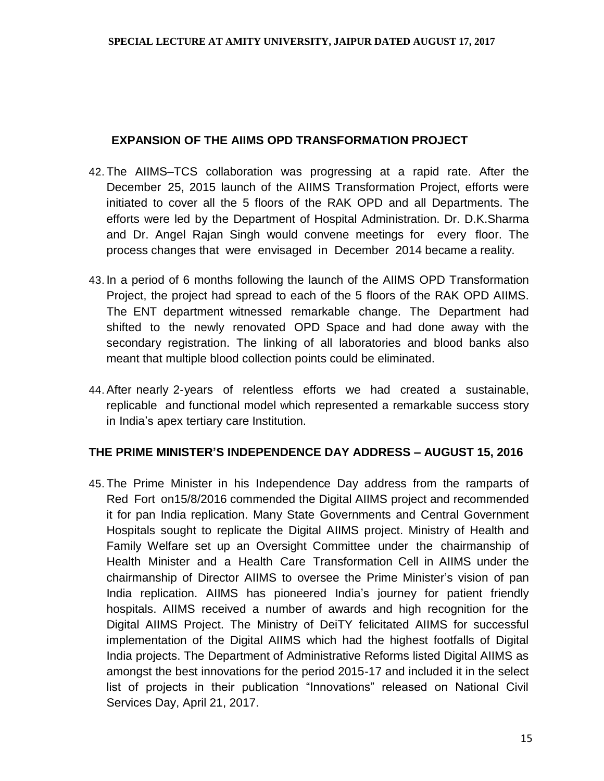## **EXPANSION OF THE AIIMS OPD TRANSFORMATION PROJECT**

- 42. The AIIMS–TCS collaboration was progressing at a rapid rate. After the December 25, 2015 launch of the AIIMS Transformation Project, efforts were initiated to cover all the 5 floors of the RAK OPD and all Departments. The efforts were led by the Department of Hospital Administration. Dr. D.K.Sharma and Dr. Angel Rajan Singh would convene meetings for every floor. The process changes that were envisaged in December 2014 became a reality.
- 43. In a period of 6 months following the launch of the AIIMS OPD Transformation Project, the project had spread to each of the 5 floors of the RAK OPD AIIMS. The ENT department witnessed remarkable change. The Department had shifted to the newly renovated OPD Space and had done away with the secondary registration. The linking of all laboratories and blood banks also meant that multiple blood collection points could be eliminated.
- 44.After nearly 2-years of relentless efforts we had created a sustainable, replicable and functional model which represented a remarkable success story in India's apex tertiary care Institution.

## **THE PRIME MINISTER'S INDEPENDENCE DAY ADDRESS – AUGUST 15, 2016**

45. The Prime Minister in his Independence Day address from the ramparts of Red Fort on15/8/2016 commended the Digital AIIMS project and recommended it for pan India replication. Many State Governments and Central Government Hospitals sought to replicate the Digital AIIMS project. Ministry of Health and Family Welfare set up an Oversight Committee under the chairmanship of Health Minister and a Health Care Transformation Cell in AIIMS under the chairmanship of Director AIIMS to oversee the Prime Minister's vision of pan India replication. AIIMS has pioneered India's journey for patient friendly hospitals. AIIMS received a number of awards and high recognition for the Digital AIIMS Project. The Ministry of DeiTY felicitated AIIMS for successful implementation of the Digital AIIMS which had the highest footfalls of Digital India projects. The Department of Administrative Reforms listed Digital AIIMS as amongst the best innovations for the period 2015-17 and included it in the select list of projects in their publication "Innovations" released on National Civil Services Day, April 21, 2017.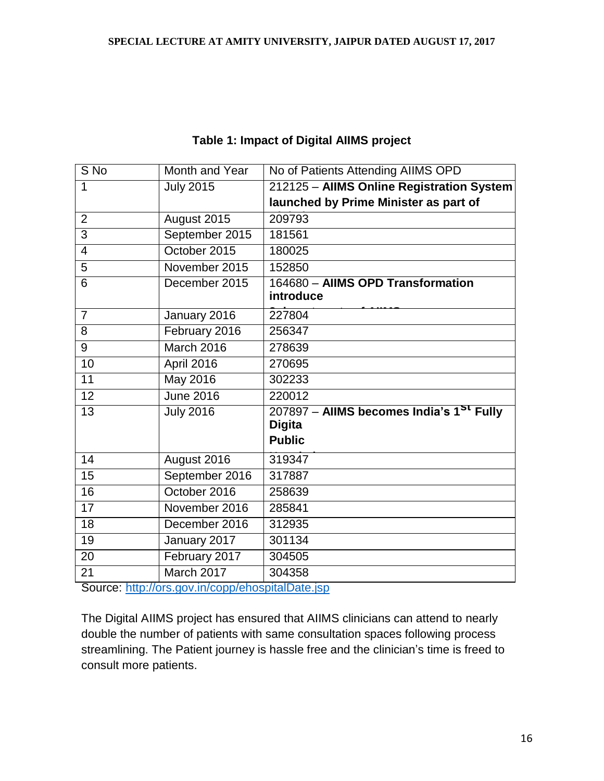| $\overline{S}$ No                                | Month and Year   | No of Patients Attending AIIMS OPD                   |  |
|--------------------------------------------------|------------------|------------------------------------------------------|--|
| 1                                                | <b>July 2015</b> | 212125 - AllMS Online Registration System            |  |
|                                                  |                  | launched by Prime Minister as part of                |  |
| $\overline{2}$                                   | August 2015      | 209793                                               |  |
| $\overline{3}$                                   | September 2015   | 181561                                               |  |
| $\overline{4}$                                   | October 2015     | 180025                                               |  |
| $\overline{5}$                                   | November 2015    | 152850                                               |  |
| 6                                                | December 2015    | 164680 - AllMS OPD Transformation                    |  |
|                                                  |                  | introduce                                            |  |
| $\overline{7}$                                   | January 2016     | 227804                                               |  |
| 8                                                | February 2016    | 256347                                               |  |
| 9                                                | March 2016       | 278639                                               |  |
| 10                                               | April 2016       | 270695                                               |  |
| 11                                               | May 2016         | 302233                                               |  |
| 12                                               | <b>June 2016</b> | 220012                                               |  |
| $\overline{13}$                                  | <b>July 2016</b> | 207897 - AllMS becomes India's 1 <sup>St</sup> Fully |  |
|                                                  |                  | <b>Digita</b>                                        |  |
|                                                  |                  | <b>Public</b>                                        |  |
| 14                                               | August 2016      | 319347                                               |  |
| 15                                               | September 2016   | 317887                                               |  |
| 16                                               | October 2016     | 258639                                               |  |
| $\overline{17}$                                  | November 2016    | 285841                                               |  |
| 18                                               | December 2016    | 312935                                               |  |
| 19                                               | January 2017     | 301134                                               |  |
| 20                                               | February 2017    | 304505                                               |  |
| 21                                               | March 2017       | 304358                                               |  |
| Course: http://oro.gov.in/oopp/oboopitalDota.jop |                  |                                                      |  |

## **Table 1: Impact of Digital AIIMS project**

Source:<http://ors.gov.in/copp/ehospitalDate.jsp>

The Digital AIIMS project has ensured that AIIMS clinicians can attend to nearly double the number of patients with same consultation spaces following process streamlining. The Patient journey is hassle free and the clinician's time is freed to consult more patients.